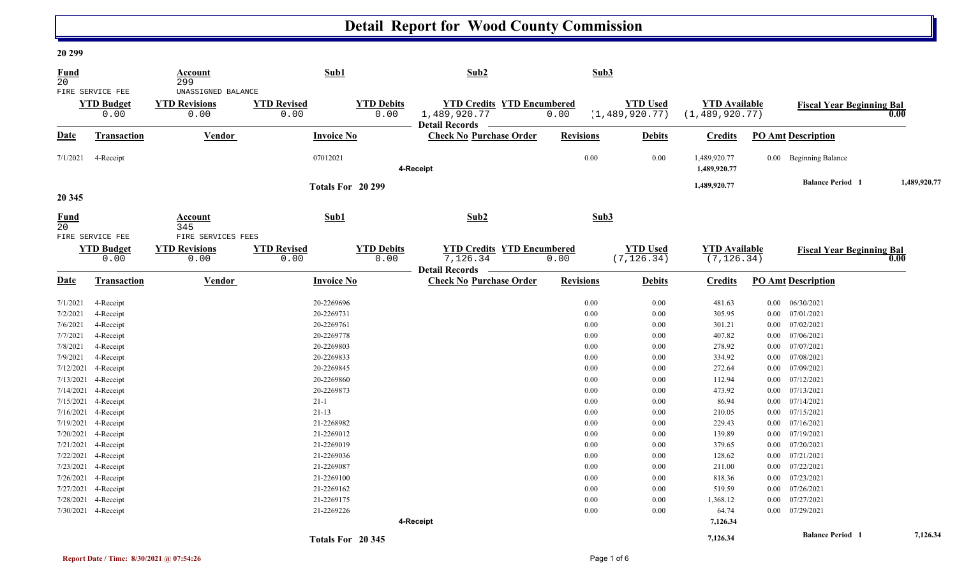# **Detail Report for Wood County Commission**

#### **20 299**

| <u>Fund</u> |                           | <b>Account</b>               |                            | Sub1                      | Sub2                                                    |                  | Sub3                           |                                     |                                  |              |
|-------------|---------------------------|------------------------------|----------------------------|---------------------------|---------------------------------------------------------|------------------|--------------------------------|-------------------------------------|----------------------------------|--------------|
| 20          | FIRE SERVICE FEE          | 299<br>UNASSIGNED BALANCE    |                            |                           |                                                         |                  |                                |                                     |                                  |              |
|             | <b>YTD Budget</b>         | <b>YTD Revisions</b>         | <b>YTD Revised</b>         | <b>YTD Debits</b>         | <b>YTD Credits YTD Encumbered</b>                       |                  | <b>YTD Used</b>                | <b>YTD Available</b>                |                                  |              |
|             | 0.00                      | 0.00                         | 0.00                       | 0.00                      | 1,489,920.77<br><b>Detail Records</b>                   | 0.00             | (1, 489, 920.77)               | (1, 489, 920.77)                    | <b>Fiscal Year Beginning Bal</b> | 0.00         |
| <b>Date</b> | Transaction               | Vendor                       |                            | <b>Invoice No</b>         | <b>Check No Purchase Order</b>                          | <b>Revisions</b> | <b>Debits</b>                  | <b>Credits</b>                      | <b>PO Amt Description</b>        |              |
| 7/1/2021    | 4-Receipt                 |                              | 07012021                   |                           | 4-Receipt                                               |                  | 0.00<br>0.00                   | 1,489,920.77<br>1,489,920.77        | 0.00 Beginning Balance           |              |
|             |                           |                              |                            |                           |                                                         |                  |                                |                                     | <b>Balance Period 1</b>          | 1,489,920.77 |
| 20 345      |                           |                              |                            | Totals For 20 299         |                                                         |                  |                                | 1,489,920.77                        |                                  |              |
| Fund<br>20  |                           | Account<br>345               |                            | Sub1                      | Sub2                                                    |                  | Sub3                           |                                     |                                  |              |
|             | FIRE SERVICE FEE          | FIRE SERVICES FEES           |                            |                           |                                                         |                  |                                |                                     |                                  |              |
|             | <b>YTD Budget</b><br>0.00 | <b>YTD Revisions</b><br>0.00 | <b>YTD Revised</b><br>0.00 | <b>YTD Debits</b><br>0.00 | <b>YTD Credits YTD Encumbered</b><br>7,126.34           | 0.00             | <b>YTD Used</b><br>(7, 126.34) | <b>YTD</b> Available<br>(7, 126.34) | <b>Fiscal Year Beginning Bal</b> | 0.00         |
| <b>Date</b> | Transaction               | <b>Vendor</b>                |                            | <b>Invoice No</b>         | <b>Detail Records</b><br><b>Check No Purchase Order</b> | <b>Revisions</b> | <b>Debits</b>                  | <b>Credits</b>                      | <b>PO Amt Description</b>        |              |
| 7/1/2021    | 4-Receipt                 |                              | 20-2269696                 |                           |                                                         |                  | 0.00<br>0.00                   | 481.63                              | 06/30/2021<br>$0.00\,$           |              |
| 7/2/2021    | 4-Receipt                 |                              | 20-2269731                 |                           |                                                         |                  | 0.00<br>0.00                   | 305.95                              | $0.00\,$<br>07/01/2021           |              |
| 7/6/2021    | 4-Receipt                 |                              | 20-2269761                 |                           |                                                         |                  | 0.00<br>0.00                   | 301.21                              | $0.00$ $07/02/2021$              |              |
| 7/7/2021    | 4-Receipt                 |                              | 20-2269778                 |                           |                                                         |                  | 0.00<br>0.00                   | 407.82                              | 07/06/2021<br>$0.00\,$           |              |
| 7/8/2021    | 4-Receipt                 |                              | 20-2269803                 |                           |                                                         |                  | $0.00\,$<br>0.00               | 278.92                              | 07/07/2021<br>$0.00\,$           |              |
| 7/9/2021    | 4-Receipt                 |                              | 20-2269833                 |                           |                                                         |                  | 0.00<br>0.00                   | 334.92                              | 07/08/2021<br>$0.00\,$           |              |
| 7/12/2021   | 4-Receipt                 |                              | 20-2269845                 |                           |                                                         |                  | 0.00<br>0.00                   | 272.64                              | 07/09/2021<br>$0.00\,$           |              |
| 7/13/2021   | 4-Receipt                 |                              | 20-2269860                 |                           |                                                         |                  | 0.00<br>0.00                   | 112.94                              | 07/12/2021<br>$0.00\,$           |              |
|             | 7/14/2021 4-Receipt       |                              | 20-2269873                 |                           |                                                         |                  | 0.00<br>0.00                   | 473.92                              | $0.00$ $07/13/2021$              |              |
|             | 7/15/2021 4-Receipt       |                              | $21 - 1$                   |                           |                                                         |                  | 0.00<br>0.00                   | 86.94                               | 07/14/2021<br>$0.00\,$           |              |
| 7/16/2021   | 4-Receipt                 |                              | $21 - 13$                  |                           |                                                         |                  | 0.00<br>0.00                   | 210.05                              | 07/15/2021<br>$0.00\,$           |              |
|             | 7/19/2021 4-Receipt       |                              | 21-2268982                 |                           |                                                         |                  | 0.00<br>0.00                   | 229.43                              | $0.00$ $07/16/2021$              |              |
|             | 7/20/2021 4-Receipt       |                              | 21-2269012                 |                           |                                                         |                  | 0.00<br>0.00                   | 139.89                              | 07/19/2021<br>$0.00\,$           |              |
|             | 7/21/2021 4-Receipt       |                              | 21-2269019                 |                           |                                                         |                  | 0.00<br>0.00                   | 379.65                              | 07/20/2021<br>0.00               |              |
|             | 7/22/2021 4-Receipt       |                              | 21-2269036                 |                           |                                                         |                  | 0.00<br>0.00                   | 128.62                              | 07/21/2021<br>$0.00\,$           |              |
|             | 7/23/2021 4-Receipt       |                              | 21-2269087                 |                           |                                                         |                  | 0.00<br>0.00                   | 211.00                              | 07/22/2021<br>$0.00\,$           |              |
|             | 7/26/2021 4-Receipt       |                              | 21-2269100                 |                           |                                                         |                  | 0.00<br>0.00                   | 818.36                              | 07/23/2021<br>0.00               |              |
|             | 7/27/2021 4-Receipt       |                              | 21-2269162                 |                           |                                                         |                  | $0.00\,$<br>0.00               | 519.59                              | 07/26/2021<br>0.00               |              |
|             | 7/28/2021 4-Receipt       |                              | 21-2269175                 |                           |                                                         |                  | $0.00\,$<br>0.00               | 1,368.12                            | 07/27/2021<br>$0.00\,$           |              |
|             | 7/30/2021 4-Receipt       |                              | 21-2269226                 |                           |                                                         |                  | 0.00<br>0.00                   | 64.74                               | 07/29/2021<br>$0.00\,$           |              |
|             |                           |                              |                            |                           | 4-Receipt                                               |                  |                                | 7,126.34                            |                                  |              |
|             |                           |                              |                            | Totals For 20 345         |                                                         |                  |                                | 7,126.34                            | <b>Balance Period</b> 1          | 7,126.34     |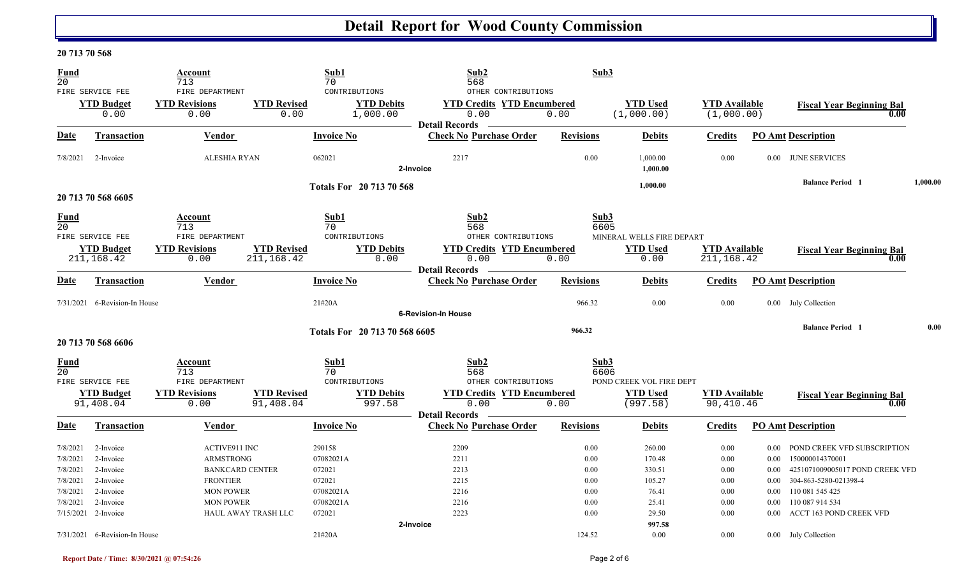# **Detail Report for Wood County Commission**

### **20 713 70 568**

| <b>Fund</b><br>$\overline{20}$   |                                                      | Account<br>713                                                    |                                   | Sub1<br>70                                               | Sub2<br>568                                                                                              | Sub3                 |                                                      |                                     |                                  |                                                                             |          |
|----------------------------------|------------------------------------------------------|-------------------------------------------------------------------|-----------------------------------|----------------------------------------------------------|----------------------------------------------------------------------------------------------------------|----------------------|------------------------------------------------------|-------------------------------------|----------------------------------|-----------------------------------------------------------------------------|----------|
|                                  | FIRE SERVICE FEE<br><b>YTD Budget</b><br>0.00        | FIRE DEPARTMENT<br><b>YTD Revisions</b><br>0.00                   | <b>YTD Revised</b><br>0.00        | CONTRIBUTIONS<br><b>YTD Debits</b><br>1,000.00           | OTHER CONTRIBUTIONS<br><b>YTD Credits YTD Encumbered</b><br>0.00                                         | 0.00                 | <b>YTD Used</b><br>(1,000.00)                        | <b>YTD</b> Available<br>(1,000.00)  |                                  | <b>Fiscal Year Beginning Bal</b><br>0.00                                    |          |
| <b>Date</b>                      | Transaction                                          | Vendor                                                            |                                   | <b>Invoice No</b>                                        | <b>Detail Records</b><br><b>Check No Purchase Order</b>                                                  | <b>Revisions</b>     | <b>Debits</b>                                        | <b>Credits</b>                      |                                  | <b>PO Amt Description</b>                                                   |          |
| 7/8/2021                         | 2-Invoice                                            | <b>ALESHIA RYAN</b>                                               |                                   | 062021                                                   | 2217<br>2-Invoice                                                                                        | 0.00                 | 1,000.00<br>1.000.00                                 | 0.00                                |                                  | 0.00 JUNE SERVICES                                                          |          |
|                                  | 20 713 70 568 6605                                   |                                                                   |                                   | Totals For 20 713 70 568                                 |                                                                                                          |                      | 1,000.00                                             |                                     |                                  | <b>Balance Period 1</b>                                                     | 1,000.00 |
| <b>Fund</b><br>20                | FIRE SERVICE FEE<br><b>YTD Budget</b><br>211, 168.42 | Account<br>713<br>FIRE DEPARTMENT<br><b>YTD Revisions</b><br>0.00 | <b>YTD Revised</b><br>211, 168.42 | Sub1<br>70<br>CONTRIBUTIONS<br><b>YTD Debits</b><br>0.00 | Sub2<br>568<br>OTHER CONTRIBUTIONS<br><b>YTD Credits YTD Encumbered</b><br>0.00<br><b>Detail Records</b> | Sub3<br>6605<br>0.00 | MINERAL WELLS FIRE DEPART<br><b>YTD Used</b><br>0.00 | <b>YTD</b> Available<br>211, 168.42 |                                  | <b>Fiscal Year Beginning Bal</b><br>0.00                                    |          |
| Date                             | Transaction                                          | Vendor                                                            |                                   | <b>Invoice No</b>                                        | <b>Check No Purchase Order</b>                                                                           | <b>Revisions</b>     | <b>Debits</b>                                        | <b>Credits</b>                      |                                  | <b>PO Amt Description</b>                                                   |          |
|                                  | 7/31/2021 6-Revision-In House                        |                                                                   |                                   | 21#20A                                                   | <b>6-Revision-In House</b>                                                                               | 966.32               | 0.00                                                 | 0.00                                |                                  | 0.00 July Collection                                                        |          |
|                                  | 20 713 70 568 6606                                   |                                                                   |                                   | Totals For 20 713 70 568 6605                            |                                                                                                          | 966.32               |                                                      |                                     |                                  | <b>Balance Period</b> 1                                                     | 0.00     |
| <b>Fund</b><br>$\overline{20}$   | FIRE SERVICE FEE                                     | Account<br>713<br>FIRE DEPARTMENT                                 |                                   | Sub1<br>70<br>CONTRIBUTIONS                              | Sub2<br>568<br>OTHER CONTRIBUTIONS                                                                       | Sub3<br>6606         | POND CREEK VOL FIRE DEPT                             |                                     |                                  |                                                                             |          |
|                                  | <b>YTD Budget</b><br>91,408.04                       | <b>YTD Revisions</b><br>0.00                                      | <b>YTD Revised</b><br>91,408.04   | <b>YTD Debits</b><br>997.58                              | <b>YTD Credits YTD Encumbered</b><br>0.00                                                                | 0.00                 | <b>YTD Used</b><br>(997.58)                          | <b>YTD Available</b><br>90,410.46   |                                  | <b>Fiscal Year Beginning Bal</b><br>0.00                                    |          |
| Date                             | Transaction                                          | <b>Vendor</b>                                                     |                                   | <b>Invoice No</b>                                        | <b>Detail Records</b><br><b>Check No Purchase Order</b>                                                  | <b>Revisions</b>     | <b>Debits</b>                                        | <b>Credits</b>                      |                                  | <b>PO Amt Description</b>                                                   |          |
| 7/8/2021<br>7/8/2021             | 2-Invoice<br>2-Invoice                               | <b>ACTIVE911 INC</b><br>ARMSTRONG                                 |                                   | 290158<br>07082021A                                      | 2209<br>2211                                                                                             | 0.00<br>0.00         | 260.00<br>170.48                                     | 0.00<br>0.00                        | $0.00\,$                         | 0.00 POND CREEK VFD SUBSCRIPTION<br>150000014370001                         |          |
| 7/8/2021<br>7/8/2021<br>7/8/2021 | 2-Invoice<br>2-Invoice<br>2-Invoice                  | <b>BANKCARD CENTER</b><br><b>FRONTIER</b><br><b>MON POWER</b>     |                                   | 072021<br>072021<br>07082021A                            | 2213<br>2215<br>2216                                                                                     | 0.00<br>0.00<br>0.00 | 330.51<br>105.27<br>76.41                            | 0.00<br>0.00<br>0.00                | $0.00\,$<br>$0.00\,$<br>$0.00\,$ | 4251071009005017 POND CREEK VFD<br>304-863-5280-021398-4<br>110 081 545 425 |          |
| 7/8/2021                         | 2-Invoice<br>7/15/2021 2-Invoice                     | <b>MON POWER</b>                                                  | HAUL AWAY TRASH LLC               | 07082021A<br>072021                                      | 2216<br>2223<br>2-Invoice                                                                                | 0.00<br>0.00         | 25.41<br>29.50<br>997.58                             | 0.00<br>0.00                        | 0.00<br>0.00                     | 110 087 914 534<br>ACCT 163 POND CREEK VFD                                  |          |
|                                  | 7/31/2021 6-Revision-In House                        |                                                                   |                                   | 21#20A                                                   |                                                                                                          | 124.52               | 0.00                                                 | 0.00                                |                                  | 0.00 July Collection                                                        |          |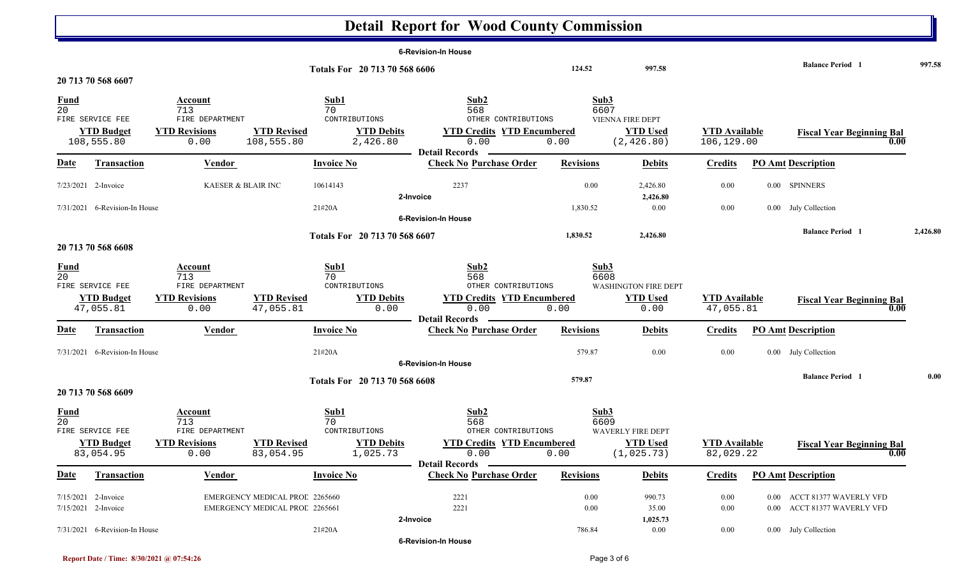# **Detail Report for Wood County Commission**

| <b>Balance Period 1</b><br>124.52<br>997.58<br>Totals For 20 713 70 568 6606<br>20 713 70 568 6607<br>Sub2<br>Sub3<br>Sub1<br><b>Fund</b><br>Account<br>$\overline{20}$<br>6607<br>713<br>70<br>568<br>VIENNA FIRE DEPT<br>FIRE SERVICE FEE<br>FIRE DEPARTMENT<br>CONTRIBUTIONS<br>OTHER CONTRIBUTIONS<br><b>YTD Budget</b><br><b>YTD Revisions</b><br><b>YTD Revised</b><br><b>YTD Debits</b><br><b>YTD Credits YTD Encumbered</b><br><b>YTD Used</b><br><b>YTD Available</b><br><b>Fiscal Year Beginning Bal</b><br>108,555.80<br>108,555.80<br>0.00<br>2,426.80<br>0.00<br>0.00<br>(2, 426.80)<br>106,129.00<br><b>Detail Records</b><br><b>Check No Purchase Order</b><br><b>Revisions</b><br><b>PO Amt Description</b><br><u>Date</u><br><b>Transaction</b><br><b>Vendor</b><br><b>Invoice No</b><br><b>Debits</b><br><b>Credits</b><br>KAESER & BLAIR INC<br>2237<br>0.00<br>0.00<br>0.00 SPINNERS<br>7/23/2021 2-Invoice<br>10614143<br>2,426.80<br>2,426.80<br>2-Invoice<br>21#20A<br>7/31/2021 6-Revision-In House<br>1,830.52<br>$0.00\,$<br>0.00<br>0.00 July Collection |          |
|-------------------------------------------------------------------------------------------------------------------------------------------------------------------------------------------------------------------------------------------------------------------------------------------------------------------------------------------------------------------------------------------------------------------------------------------------------------------------------------------------------------------------------------------------------------------------------------------------------------------------------------------------------------------------------------------------------------------------------------------------------------------------------------------------------------------------------------------------------------------------------------------------------------------------------------------------------------------------------------------------------------------------------------------------------------------------------------|----------|
|                                                                                                                                                                                                                                                                                                                                                                                                                                                                                                                                                                                                                                                                                                                                                                                                                                                                                                                                                                                                                                                                                     | 997.58   |
|                                                                                                                                                                                                                                                                                                                                                                                                                                                                                                                                                                                                                                                                                                                                                                                                                                                                                                                                                                                                                                                                                     |          |
|                                                                                                                                                                                                                                                                                                                                                                                                                                                                                                                                                                                                                                                                                                                                                                                                                                                                                                                                                                                                                                                                                     |          |
|                                                                                                                                                                                                                                                                                                                                                                                                                                                                                                                                                                                                                                                                                                                                                                                                                                                                                                                                                                                                                                                                                     |          |
|                                                                                                                                                                                                                                                                                                                                                                                                                                                                                                                                                                                                                                                                                                                                                                                                                                                                                                                                                                                                                                                                                     |          |
|                                                                                                                                                                                                                                                                                                                                                                                                                                                                                                                                                                                                                                                                                                                                                                                                                                                                                                                                                                                                                                                                                     |          |
|                                                                                                                                                                                                                                                                                                                                                                                                                                                                                                                                                                                                                                                                                                                                                                                                                                                                                                                                                                                                                                                                                     |          |
|                                                                                                                                                                                                                                                                                                                                                                                                                                                                                                                                                                                                                                                                                                                                                                                                                                                                                                                                                                                                                                                                                     |          |
| <b>6-Revision-In House</b>                                                                                                                                                                                                                                                                                                                                                                                                                                                                                                                                                                                                                                                                                                                                                                                                                                                                                                                                                                                                                                                          |          |
| <b>Balance Period</b> 1<br>1,830.52<br>2,426.80<br>Totals For 20 713 70 568 6607                                                                                                                                                                                                                                                                                                                                                                                                                                                                                                                                                                                                                                                                                                                                                                                                                                                                                                                                                                                                    | 2,426.80 |
| 20 713 70 568 6608                                                                                                                                                                                                                                                                                                                                                                                                                                                                                                                                                                                                                                                                                                                                                                                                                                                                                                                                                                                                                                                                  |          |
| Sub1<br>Sub2<br>Sub3<br>$\frac{Fund}{20}$<br><b>Account</b><br>6608<br>713<br>568<br>70<br>WASHINGTON FIRE DEPT<br>FIRE SERVICE FEE<br>FIRE DEPARTMENT<br>CONTRIBUTIONS<br>OTHER CONTRIBUTIONS                                                                                                                                                                                                                                                                                                                                                                                                                                                                                                                                                                                                                                                                                                                                                                                                                                                                                      |          |
| <b>YTD Revised</b><br><b>YTD Credits YTD Encumbered</b><br><b>YTD Used</b><br><b>YTD Budget</b><br><b>YTD Revisions</b><br><b>YTD Debits</b><br><b>YTD Available</b><br><b>Fiscal Year Beginning Bal</b>                                                                                                                                                                                                                                                                                                                                                                                                                                                                                                                                                                                                                                                                                                                                                                                                                                                                            |          |
| 47,055.81<br>47,055.81<br>0.00<br>0.00<br>0.00<br>47,055.81<br>0.00<br>0.00<br>0.00<br><b>Detail Records</b>                                                                                                                                                                                                                                                                                                                                                                                                                                                                                                                                                                                                                                                                                                                                                                                                                                                                                                                                                                        |          |
| Vendor<br><b>Invoice No</b><br><b>Check No Purchase Order</b><br><b>Revisions</b><br><b>PO Amt Description</b><br><u>Date</u><br><b>Transaction</b><br><b>Debits</b><br><b>Credits</b>                                                                                                                                                                                                                                                                                                                                                                                                                                                                                                                                                                                                                                                                                                                                                                                                                                                                                              |          |
| 7/31/2021 6-Revision-In House<br>21#20A<br>579.87<br>$0.00\,$<br>0.00<br>0.00 July Collection                                                                                                                                                                                                                                                                                                                                                                                                                                                                                                                                                                                                                                                                                                                                                                                                                                                                                                                                                                                       |          |
| <b>6-Revision-In House</b><br><b>Balance Period 1</b>                                                                                                                                                                                                                                                                                                                                                                                                                                                                                                                                                                                                                                                                                                                                                                                                                                                                                                                                                                                                                               | 0.00     |
| 579.87<br>Totals For 20 713 70 568 6608<br>20 713 70 568 6609                                                                                                                                                                                                                                                                                                                                                                                                                                                                                                                                                                                                                                                                                                                                                                                                                                                                                                                                                                                                                       |          |
| Sub1<br>Sub2<br>Sub3<br>$\frac{Fund}{20}$<br><b>Account</b><br>713<br>70<br>568<br>6609                                                                                                                                                                                                                                                                                                                                                                                                                                                                                                                                                                                                                                                                                                                                                                                                                                                                                                                                                                                             |          |
| FIRE SERVICE FEE<br>FIRE DEPARTMENT<br>CONTRIBUTIONS<br>OTHER CONTRIBUTIONS<br><b>WAVERLY FIRE DEPT</b><br><b>YTD Budget</b><br><b>YTD Revisions</b><br><b>YTD Revised</b><br><b>YTD Debits</b><br><b>YTD Credits YTD Encumbered</b><br><b>YTD Used</b><br><b>YTD Available</b><br><b>Fiscal Year Beginning Bal</b><br>83,054.95<br>83,054.95<br>1,025.73<br>(1, 025.73)<br>0.00<br>0.00<br>82,029.22<br>0.00<br>0.00                                                                                                                                                                                                                                                                                                                                                                                                                                                                                                                                                                                                                                                               |          |
| <b>Detail Records</b><br><b>Invoice No</b><br><b>Check No Purchase Order</b><br><b>PO Amt Description</b><br><u>Date</u><br><b>Transaction</b><br><b>Revisions</b><br><b>Debits</b><br><b>Credits</b><br><b>Vendor</b>                                                                                                                                                                                                                                                                                                                                                                                                                                                                                                                                                                                                                                                                                                                                                                                                                                                              |          |
| 0.00 ACCT 81377 WAVERLY VFD<br>7/15/2021 2-Invoice<br>EMERGENCY MEDICAL PROL 2265660<br>2221<br>0.00<br>990.73<br>0.00                                                                                                                                                                                                                                                                                                                                                                                                                                                                                                                                                                                                                                                                                                                                                                                                                                                                                                                                                              |          |
| 7/15/2021 2-Invoice<br>EMERGENCY MEDICAL PROL 2265661<br>2221<br>0.00<br>35.00<br>0.00<br>0.00 ACCT 81377 WAVERLY VFD                                                                                                                                                                                                                                                                                                                                                                                                                                                                                                                                                                                                                                                                                                                                                                                                                                                                                                                                                               |          |
| 2-Invoice<br>1,025.73                                                                                                                                                                                                                                                                                                                                                                                                                                                                                                                                                                                                                                                                                                                                                                                                                                                                                                                                                                                                                                                               |          |
| 7/31/2021 6-Revision-In House<br>21#20A<br>786.84<br>$0.00\,$<br>$0.00\,$<br>0.00 July Collection<br><b>6-Revision-In House</b>                                                                                                                                                                                                                                                                                                                                                                                                                                                                                                                                                                                                                                                                                                                                                                                                                                                                                                                                                     |          |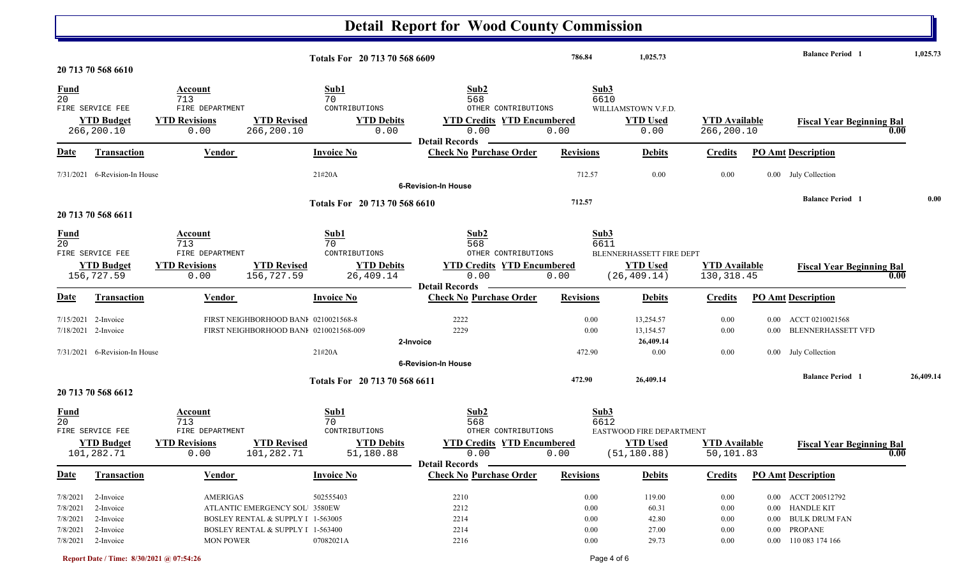|                                |                                 |                        |                                        |                               | <b>Detail Report for Wood County Commission</b>         |                  |                          |                      |          |                                          |           |
|--------------------------------|---------------------------------|------------------------|----------------------------------------|-------------------------------|---------------------------------------------------------|------------------|--------------------------|----------------------|----------|------------------------------------------|-----------|
|                                | 20 713 70 568 6610              |                        |                                        | Totals For 20 713 70 568 6609 |                                                         | 786.84           | 1,025.73                 |                      |          | <b>Balance Period 1</b>                  | 1,025.73  |
|                                |                                 |                        |                                        |                               |                                                         |                  |                          |                      |          |                                          |           |
| <b>Fund</b><br>$\overline{20}$ |                                 | Account<br>713         |                                        | Sub1<br>70                    | Sub <sub>2</sub><br>568                                 | Sub3<br>6610     |                          |                      |          |                                          |           |
|                                | FIRE SERVICE FEE                | FIRE DEPARTMENT        |                                        | CONTRIBUTIONS                 | OTHER CONTRIBUTIONS                                     |                  | WILLIAMSTOWN V.F.D.      |                      |          |                                          |           |
|                                | <b>YTD Budget</b>               | <b>YTD Revisions</b>   | <b>YTD Revised</b>                     | <b>YTD Debits</b>             | <b>YTD Credits YTD Encumbered</b>                       |                  | <b>YTD Used</b>          | <b>YTD Available</b> |          | <b>Fiscal Year Beginning Bal</b>         |           |
|                                | 266,200.10                      | 0.00                   | 266,200.10                             | 0.00                          | 0.00                                                    | 0.00             | 0.00                     | 266,200.10           |          | 0.00                                     |           |
|                                |                                 |                        |                                        | <b>Invoice No</b>             | <b>Detail Records</b><br><b>Check No Purchase Order</b> | <b>Revisions</b> |                          |                      |          | <b>PO Amt Description</b>                |           |
| <u>Date</u>                    | <b>Transaction</b>              | Vendor                 |                                        |                               |                                                         |                  | <b>Debits</b>            | <b>Credits</b>       |          |                                          |           |
| 7/31/2021                      | 6-Revision-In House             |                        |                                        | 21#20A                        |                                                         | 712.57           | 0.00                     | 0.00                 |          | 0.00 July Collection                     |           |
|                                |                                 |                        |                                        |                               | <b>6-Revision-In House</b>                              |                  |                          |                      |          |                                          |           |
|                                |                                 |                        |                                        | Totals For 20 713 70 568 6610 |                                                         | 712.57           |                          |                      |          | <b>Balance Period 1</b>                  | 0.00      |
|                                | 20 713 70 568 6611              |                        |                                        |                               |                                                         |                  |                          |                      |          |                                          |           |
|                                |                                 |                        |                                        |                               |                                                         |                  |                          |                      |          |                                          |           |
| <b>Fund</b>                    |                                 | Account                |                                        | Sub1                          | Sub2                                                    | Sub3             |                          |                      |          |                                          |           |
| $\overline{20}$                | FIRE SERVICE FEE                | 713<br>FIRE DEPARTMENT |                                        | 70<br>CONTRIBUTIONS           | 568<br>OTHER CONTRIBUTIONS                              | 6611             | BLENNERHASSETT FIRE DEPT |                      |          |                                          |           |
|                                |                                 | <b>YTD Revisions</b>   | <b>YTD Revised</b>                     | <b>YTD Debits</b>             | <b>YTD Credits YTD Encumbered</b>                       |                  | <b>YTD Used</b>          | <b>YTD</b> Available |          |                                          |           |
|                                | <b>YTD Budget</b><br>156,727.59 | 0.00                   | 156,727.59                             | 26,409.14                     | 0.00                                                    | 0.00             | (26, 409.14)             | 130, 318.45          |          | <b>Fiscal Year Beginning Bal</b><br>0.00 |           |
|                                |                                 |                        |                                        |                               | <b>Detail Records</b>                                   |                  |                          |                      |          |                                          |           |
| <b>Date</b>                    | <b>Transaction</b>              | Vendor                 |                                        | <b>Invoice No</b>             | <b>Check No Purchase Order</b>                          | <b>Revisions</b> | <b>Debits</b>            | <b>Credits</b>       |          | <b>PO Amt Description</b>                |           |
| 7/15/2021                      | 2-Invoice                       |                        | FIRST NEIGHBORHOOD BANI 0210021568-8   |                               | 2222                                                    | 0.00             | 13,254.57                | 0.00                 | $0.00\,$ | ACCT 0210021568                          |           |
|                                | 7/18/2021 2-Invoice             |                        | FIRST NEIGHBORHOOD BANI 0210021568-009 |                               | 2229                                                    | 0.00             | 13,154.57                | 0.00                 | 0.00     | <b>BLENNERHASSETT VFD</b>                |           |
|                                |                                 |                        |                                        |                               | 2-Invoice                                               |                  | 26,409.14                |                      |          |                                          |           |
|                                | 7/31/2021 6-Revision-In House   |                        |                                        | 21#20A                        |                                                         | 472.90           | 0.00                     | 0.00                 |          | 0.00 July Collection                     |           |
|                                |                                 |                        |                                        |                               | <b>6-Revision-In House</b>                              |                  |                          |                      |          |                                          |           |
|                                |                                 |                        |                                        | Totals For 20 713 70 568 6611 |                                                         | 472.90           | 26,409.14                |                      |          | <b>Balance Period 1</b>                  | 26,409.14 |
|                                | 20 713 70 568 6612              |                        |                                        |                               |                                                         |                  |                          |                      |          |                                          |           |
|                                |                                 | Account                |                                        | Sub1                          | Sub2                                                    | Sub3             |                          |                      |          |                                          |           |
| $\frac{Fund}{20}$              |                                 | 713                    |                                        | 70                            | 568                                                     | 6612             |                          |                      |          |                                          |           |
|                                | FIRE SERVICE FEE                | FIRE DEPARTMENT        |                                        | CONTRIBUTIONS                 | OTHER CONTRIBUTIONS                                     |                  | EASTWOOD FIRE DEPARTMENT |                      |          |                                          |           |
|                                | <b>YTD Budget</b>               | <b>YTD Revisions</b>   | <b>YTD Revised</b>                     | <b>YTD Debits</b>             | <b>YTD Credits YTD Encumbered</b>                       |                  | <b>YTD Used</b>          | <b>YTD</b> Available |          | <b>Fiscal Year Beginning Bal</b>         |           |
|                                | 101,282.71                      | 0.00                   | 101,282.71                             | 51,180.88                     | 0.00                                                    | 0.00             | (51, 180.88)             | 50,101.83            |          | 0.00                                     |           |
|                                |                                 |                        |                                        |                               | <b>Detail Records</b>                                   |                  |                          |                      |          |                                          |           |
| <u>Date</u>                    | <b>Transaction</b>              | <b>Vendor</b>          |                                        | <b>Invoice No</b>             | <b>Check No Purchase Order</b>                          | <b>Revisions</b> | <b>Debits</b>            | <b>Credits</b>       |          | <b>PO Amt Description</b>                |           |
| 7/8/2021                       | 2-Invoice                       | <b>AMERIGAS</b>        |                                        | 502555403                     | 2210                                                    | 0.00             | 119.00                   | 0.00                 |          | 0.00 ACCT 200512792                      |           |
| 7/8/2021                       | 2-Invoice                       |                        | ATLANTIC EMERGENCY SOL 3580EW          |                               | 2212                                                    | 0.00             | 60.31                    | 0.00                 | $0.00\,$ | <b>HANDLE KIT</b>                        |           |
| 7/8/2021                       | 2-Invoice                       |                        | BOSLEY RENTAL & SUPPLY I 1-563005      |                               | 2214                                                    | 0.00             | 42.80                    | 0.00                 | $0.00\,$ | <b>BULK DRUM FAN</b>                     |           |
| 7/8/2021                       | 2-Invoice                       |                        | BOSLEY RENTAL & SUPPLY I 1-563400      |                               | 2214                                                    | 0.00             | 27.00                    | 0.00                 | $0.00\,$ | PROPANE                                  |           |
| 7/8/2021                       | 2-Invoice                       | <b>MON POWER</b>       |                                        | 07082021A                     | 2216                                                    | 0.00             | 29.73                    | 0.00                 |          | 0.00 110 083 174 166                     |           |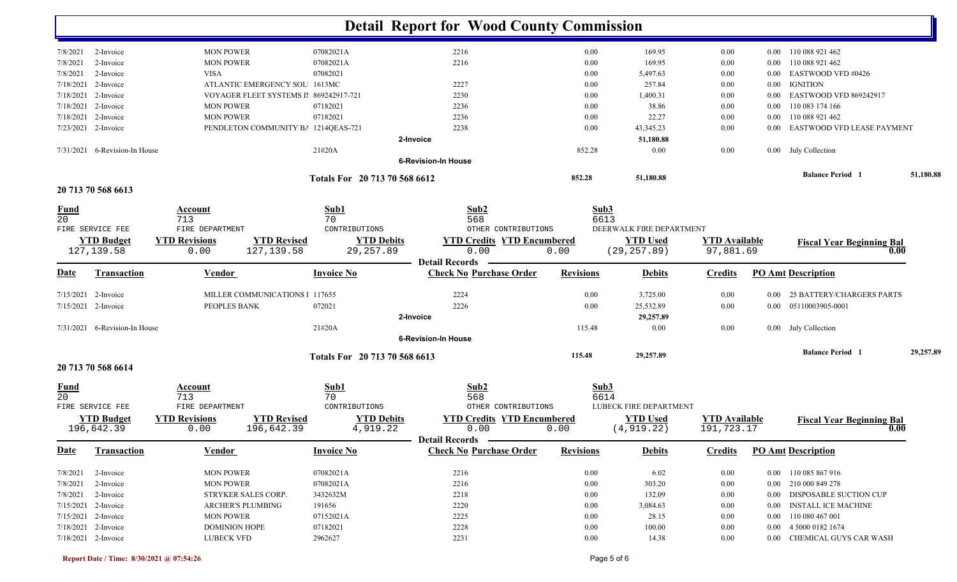|                                |                               |                                            |                               | <b>Detail Report for Wood County Commission</b> |                  |                          |                      |          |                                  |           |
|--------------------------------|-------------------------------|--------------------------------------------|-------------------------------|-------------------------------------------------|------------------|--------------------------|----------------------|----------|----------------------------------|-----------|
|                                |                               |                                            |                               |                                                 |                  |                          |                      |          |                                  |           |
| 7/8/2021                       | 2-Invoice                     | <b>MON POWER</b>                           | 07082021A                     | 2216                                            | 0.00             | 169.95                   | 0.00                 | $0.00\,$ | 110 088 921 462                  |           |
| 7/8/2021                       | 2-Invoice                     | <b>MON POWER</b>                           | 07082021A                     | 2216                                            | 0.00             | 169.95                   | 0.00                 | 0.00     | 110 088 921 462                  |           |
| 7/8/2021                       | 2-Invoice                     | <b>VISA</b>                                | 07082021                      |                                                 | 0.00             | 5,497.63                 | 0.00                 | 0.00     | EASTWOOD VFD #0426               |           |
|                                | 7/18/2021 2-Invoice           | ATLANTIC EMERGENCY SOL 1613MC              |                               | 2227                                            | 0.00             | 257.84                   | 0.00                 | 0.00     | <b>IGNITION</b>                  |           |
|                                | 7/18/2021 2-Invoice           | VOYAGER FLEET SYSTEMS II 869242917-721     |                               | 2230                                            | 0.00             | 1,400.31                 | 0.00                 | 0.00     | EASTWOOD VFD 869242917           |           |
|                                | 7/18/2021 2-Invoice           | <b>MON POWER</b>                           | 07182021                      | 2236                                            | 0.00             | 38.86                    | 0.00                 | 0.00     | 110 083 174 166                  |           |
|                                | 7/18/2021 2-Invoice           | <b>MON POWER</b>                           | 07182021                      | 2236                                            | 0.00             | 22.27                    | 0.00                 | 0.00     | 110 088 921 462                  |           |
|                                | 7/23/2021 2-Invoice           | PENDLETON COMMUNITY B/ 1214QEAS-721        |                               | 2238                                            | 0.00             | 43, 345. 23              | 0.00                 | 0.00     | EASTWOOD VFD LEASE PAYMENT       |           |
|                                |                               |                                            |                               | 2-Invoice                                       |                  | 51,180.88                |                      |          |                                  |           |
|                                | 7/31/2021 6-Revision-In House |                                            | 21#20A                        | <b>6-Revision-In House</b>                      | 852.28           | 0.00                     | 0.00                 |          | 0.00 July Collection             |           |
|                                |                               |                                            |                               |                                                 |                  |                          |                      |          | <b>Balance Period</b> 1          | 51,180.88 |
|                                | 20 713 70 568 6613            |                                            | Totals For 20 713 70 568 6612 |                                                 | 852.28           | 51,180.88                |                      |          |                                  |           |
|                                |                               |                                            |                               |                                                 |                  |                          |                      |          |                                  |           |
| <u>Fund</u><br>$\overline{20}$ |                               | Account<br>713                             | Sub1<br>70                    | Sub2<br>568                                     | Sub3<br>6613     |                          |                      |          |                                  |           |
|                                | FIRE SERVICE FEE              | FIRE DEPARTMENT                            | CONTRIBUTIONS                 | OTHER CONTRIBUTIONS                             |                  | DEERWALK FIRE DEPARTMENT |                      |          |                                  |           |
|                                | <b>YTD Budget</b>             | <b>YTD Revised</b><br><b>YTD Revisions</b> | <b>YTD Debits</b>             | <b>YTD Credits YTD Encumbered</b>               |                  | <b>YTD</b> Used          | <b>YTD</b> Available |          | <b>Fiscal Year Beginning Bal</b> |           |
|                                | 127, 139.58                   | 127, 139.58<br>0.00                        | 29, 257.89                    | 0.00                                            | 0.00             | (29, 257.89)             | 97,881.69            |          | 0.00                             |           |
|                                |                               |                                            |                               | <b>Detail Records</b>                           |                  |                          |                      |          |                                  |           |
| <b>Date</b>                    | <b>Transaction</b>            | Vendor                                     | <b>Invoice No</b>             | <b>Check No Purchase Order</b>                  | <b>Revisions</b> | <b>Debits</b>            | <b>Credits</b>       |          | <b>PO Amt Description</b>        |           |
|                                | 7/15/2021 2-Invoice           | MILLER COMMUNICATIONS 1 117655             |                               | 2224                                            | 0.00             | 3,725.00                 | 0.00                 | 0.00     | <b>25 BATTERY/CHARGERS PARTS</b> |           |
|                                | 7/15/2021 2-Invoice           | PEOPLES BANK                               | 072021                        | 2226                                            | 0.00             | 25,532.89                | 0.00                 | $0.00\,$ | 05110003905-0001                 |           |
|                                |                               |                                            |                               | 2-Invoice                                       |                  | 29,257.89                |                      |          |                                  |           |
|                                | 7/31/2021 6-Revision-In House |                                            | 21#20A                        |                                                 | 115.48           | 0.00                     | 0.00                 |          | 0.00 July Collection             |           |
|                                |                               |                                            |                               | <b>6-Revision-In House</b>                      |                  |                          |                      |          |                                  |           |
|                                | 20 713 70 568 6614            |                                            | Totals For 20 713 70 568 6613 |                                                 | 115.48           | 29,257.89                |                      |          | <b>Balance Period 1</b>          | 29,257.89 |
| <b>Fund</b>                    |                               | Account                                    | Sub1                          | Sub2                                            | Sub3             |                          |                      |          |                                  |           |
| 20                             |                               | 713                                        | 70                            | 568                                             | 6614             |                          |                      |          |                                  |           |
|                                | FIRE SERVICE FEE              | FIRE DEPARTMENT                            | CONTRIBUTIONS                 | OTHER CONTRIBUTIONS                             |                  | LUBECK FIRE DEPARTMENT   |                      |          |                                  |           |
|                                | <b>YTD Budget</b>             | <b>YTD Revised</b><br><b>YTD Revisions</b> | <b>YTD Debits</b>             | <b>YTD Credits YTD Encumbered</b>               |                  | <b>YTD Used</b>          | <b>YTD Available</b> |          | <b>Fiscal Year Beginning Bal</b> |           |
|                                | 196,642.39                    | 196,642.39<br>0.00                         | 4,919.22                      | 0.00                                            | 0.00             | (4, 919.22)              | 191,723.17           |          | $\mathbf{0.00}$                  |           |
|                                |                               |                                            |                               | Detail Records –                                |                  |                          |                      |          |                                  |           |
| <u>Date</u>                    | <b>Transaction</b>            | <b>Vendor</b>                              | <b>Invoice No</b>             | <b>Check No Purchase Order</b>                  | <b>Revisions</b> | <b>Debits</b>            | <b>Credits</b>       |          | <b>PO Amt Description</b>        |           |
| 7/8/2021                       | 2-Invoice                     | <b>MON POWER</b>                           | 07082021A                     | 2216                                            | $0.00\,$         | 6.02                     | 0.00                 |          | 0.00 110 085 867 916             |           |
| 7/8/2021                       | 2-Invoice                     | <b>MON POWER</b>                           | 07082021A                     | 2216                                            | 0.00             | 303.20                   | 0.00                 |          | 0.00 210 000 849 278             |           |
|                                | 7/8/2021 2-Invoice            | STRYKER SALES CORP.                        | 3432632M                      | 2218                                            | 0.00             | 132.09                   | 0.00                 |          | 0.00 DISPOSABLE SUCTION CUP      |           |
|                                | 7/15/2021 2-Invoice           | ARCHER'S PLUMBING                          | 191656                        | 2220                                            | 0.00             | 3,084.63                 | 0.00                 | $0.00\,$ | INSTALL ICE MACHINE              |           |
|                                | 7/15/2021 2-Invoice           | <b>MON POWER</b>                           | 07152021A                     | 2225                                            | 0.00             | 28.15                    | $0.00\,$             | $0.00\,$ | 110 080 467 001                  |           |
|                                | 7/18/2021 2-Invoice           | <b>DOMINION HOPE</b>                       | 07182021                      | 2228                                            | $0.00\,$         | 100.00                   | $0.00\,$             | $0.00\,$ | 4 5000 0182 1674                 |           |
| 7/18/2021 2-Invoice            |                               | <b>LUBECK VFD</b>                          | 2962627                       | 2231                                            | $0.00\,$         | 14.38                    | 0.00                 |          | 0.00 CHEMICAL GUYS CAR WASH      |           |

### **Report Date / Time: 8/30/2021 @ 07:54:26** Page 5 of 6